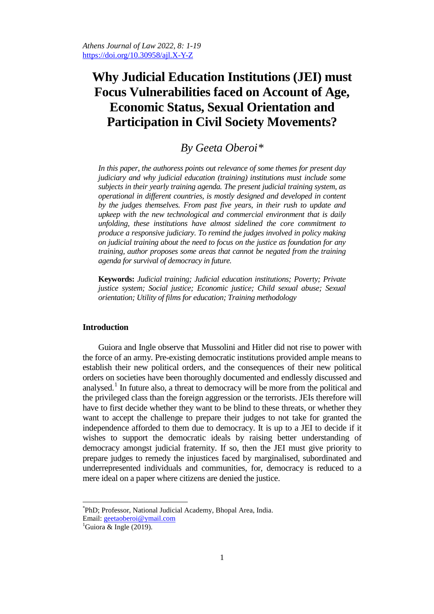# **Why Judicial Education Institutions (JEI) must Focus Vulnerabilities faced on Account of Age, Economic Status, Sexual Orientation and Participation in Civil Society Movements?**

## *By Geeta Oberoi[\\*](#page-0-0)*

*In this paper, the authoress points out relevance of some themes for present day judiciary and why judicial education (training) institutions must include some subjects in their yearly training agenda. The present judicial training system, as operational in different countries, is mostly designed and developed in content by the judges themselves. From past five years, in their rush to update and upkeep with the new technological and commercial environment that is daily unfolding, these institutions have almost sidelined the core commitment to produce a responsive judiciary. To remind the judges involved in policy making on judicial training about the need to focus on the justice as foundation for any training, author proposes some areas that cannot be negated from the training agenda for survival of democracy in future.* 

**Keywords:** *Judicial training; Judicial education institutions; Poverty; Private justice system; Social justice; Economic justice; Child sexual abuse; Sexual orientation; Utility of films for education; Training methodology*

#### **Introduction**

Guiora and Ingle observe that Mussolini and Hitler did not rise to power with the force of an army. Pre-existing democratic institutions provided ample means to establish their new political orders, and the consequences of their new political orders on societies have been thoroughly documented and endlessly discussed and analysed.<sup>[1](#page-0-1)</sup> In future also, a threat to democracy will be more from the political and the privileged class than the foreign aggression or the terrorists. JEIs therefore will have to first decide whether they want to be blind to these threats, or whether they want to accept the challenge to prepare their judges to not take for granted the independence afforded to them due to democracy. It is up to a JEI to decide if it wishes to support the democratic ideals by raising better understanding of democracy amongst judicial fraternity. If so, then the JEI must give priority to prepare judges to remedy the injustices faced by marginalised, subordinated and underrepresented individuals and communities, for, democracy is reduced to a mere ideal on a paper where citizens are denied the justice.

<span id="page-0-0"></span> \* PhD; Professor, National Judicial Academy, Bhopal Area, India.

Email: [geetaoberoi@ymail.com](mailto:geetaoberoi@ymail.com) <sup>1</sup>

<span id="page-0-1"></span><sup>&</sup>lt;sup>1</sup>Guiora & Ingle (2019).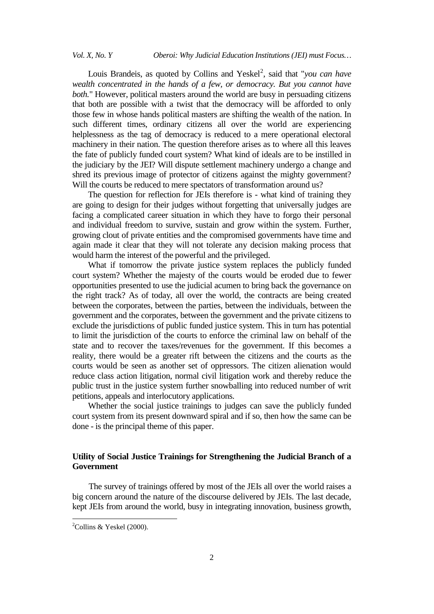## *Vol. X, No. Y Oberoi: Why Judicial Education Institutions (JEI) must Focus…*

Louis Brandeis, as quoted by Collins and Yeskel<sup>[2](#page-1-0)</sup>, said that "*you can have wealth concentrated in the hands of a few, or democracy. But you cannot have both.*" However, political masters around the world are busy in persuading citizens that both are possible with a twist that the democracy will be afforded to only those few in whose hands political masters are shifting the wealth of the nation. In such different times, ordinary citizens all over the world are experiencing helplessness as the tag of democracy is reduced to a mere operational electoral machinery in their nation. The question therefore arises as to where all this leaves the fate of publicly funded court system? What kind of ideals are to be instilled in the judiciary by the JEI? Will dispute settlement machinery undergo a change and shred its previous image of protector of citizens against the mighty government? Will the courts be reduced to mere spectators of transformation around us?

The question for reflection for JEIs therefore is - what kind of training they are going to design for their judges without forgetting that universally judges are facing a complicated career situation in which they have to forgo their personal and individual freedom to survive, sustain and grow within the system. Further, growing clout of private entities and the compromised governments have time and again made it clear that they will not tolerate any decision making process that would harm the interest of the powerful and the privileged.

What if tomorrow the private justice system replaces the publicly funded court system? Whether the majesty of the courts would be eroded due to fewer opportunities presented to use the judicial acumen to bring back the governance on the right track? As of today, all over the world, the contracts are being created between the corporates, between the parties, between the individuals, between the government and the corporates, between the government and the private citizens to exclude the jurisdictions of public funded justice system. This in turn has potential to limit the jurisdiction of the courts to enforce the criminal law on behalf of the state and to recover the taxes/revenues for the government. If this becomes a reality, there would be a greater rift between the citizens and the courts as the courts would be seen as another set of oppressors. The citizen alienation would reduce class action litigation, normal civil litigation work and thereby reduce the public trust in the justice system further snowballing into reduced number of writ petitions, appeals and interlocutory applications.

Whether the social justice trainings to judges can save the publicly funded court system from its present downward spiral and if so, then how the same can be done - is the principal theme of this paper.

## **Utility of Social Justice Trainings for Strengthening the Judicial Branch of a Government**

The survey of trainings offered by most of the JEIs all over the world raises a big concern around the nature of the discourse delivered by JEIs. The last decade, kept JEIs from around the world, busy in integrating innovation, business growth,

<span id="page-1-0"></span><sup>&</sup>lt;sup>2</sup>  $^{2}$ Collins & Yeskel (2000).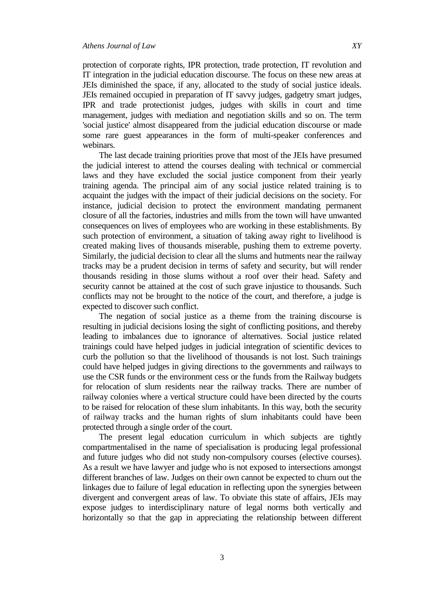protection of corporate rights, IPR protection, trade protection, IT revolution and IT integration in the judicial education discourse. The focus on these new areas at JEIs diminished the space, if any, allocated to the study of social justice ideals. JEIs remained occupied in preparation of IT savvy judges, gadgetry smart judges, IPR and trade protectionist judges, judges with skills in court and time management, judges with mediation and negotiation skills and so on. The term 'social justice' almost disappeared from the judicial education discourse or made some rare guest appearances in the form of multi-speaker conferences and webinars.

The last decade training priorities prove that most of the JEIs have presumed the judicial interest to attend the courses dealing with technical or commercial laws and they have excluded the social justice component from their yearly training agenda. The principal aim of any social justice related training is to acquaint the judges with the impact of their judicial decisions on the society. For instance, judicial decision to protect the environment mandating permanent closure of all the factories, industries and mills from the town will have unwanted consequences on lives of employees who are working in these establishments. By such protection of environment, a situation of taking away right to livelihood is created making lives of thousands miserable, pushing them to extreme poverty. Similarly, the judicial decision to clear all the slums and hutments near the railway tracks may be a prudent decision in terms of safety and security, but will render thousands residing in those slums without a roof over their head. Safety and security cannot be attained at the cost of such grave injustice to thousands. Such conflicts may not be brought to the notice of the court, and therefore, a judge is expected to discover such conflict.

The negation of social justice as a theme from the training discourse is resulting in judicial decisions losing the sight of conflicting positions, and thereby leading to imbalances due to ignorance of alternatives. Social justice related trainings could have helped judges in judicial integration of scientific devices to curb the pollution so that the livelihood of thousands is not lost. Such trainings could have helped judges in giving directions to the governments and railways to use the CSR funds or the environment cess or the funds from the Railway budgets for relocation of slum residents near the railway tracks. There are number of railway colonies where a vertical structure could have been directed by the courts to be raised for relocation of these slum inhabitants. In this way, both the security of railway tracks and the human rights of slum inhabitants could have been protected through a single order of the court.

The present legal education curriculum in which subjects are tightly compartmentalised in the name of specialisation is producing legal professional and future judges who did not study non-compulsory courses (elective courses). As a result we have lawyer and judge who is not exposed to intersections amongst different branches of law. Judges on their own cannot be expected to churn out the linkages due to failure of legal education in reflecting upon the synergies between divergent and convergent areas of law. To obviate this state of affairs, JEIs may expose judges to interdisciplinary nature of legal norms both vertically and horizontally so that the gap in appreciating the relationship between different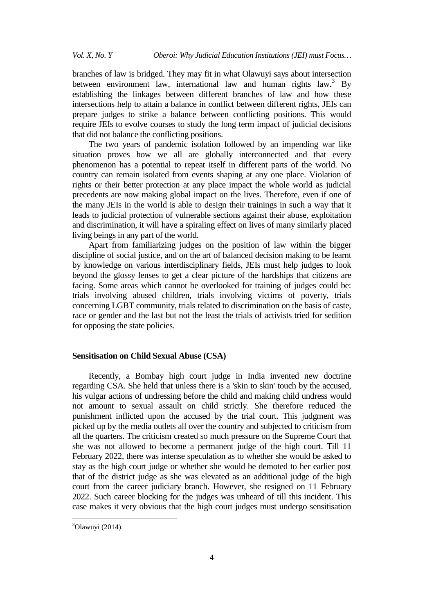branches of law is bridged. They may fit in what Olawuyi says about intersection between environment law, international law and human rights law.<sup>[3](#page-3-0)</sup> By establishing the linkages between different branches of law and how these intersections help to attain a balance in conflict between different rights, JEIs can prepare judges to strike a balance between conflicting positions. This would require JEIs to evolve courses to study the long term impact of judicial decisions that did not balance the conflicting positions.

The two years of pandemic isolation followed by an impending war like situation proves how we all are globally interconnected and that every phenomenon has a potential to repeat itself in different parts of the world. No country can remain isolated from events shaping at any one place. Violation of rights or their better protection at any place impact the whole world as judicial precedents are now making global impact on the lives. Therefore, even if one of the many JEIs in the world is able to design their trainings in such a way that it leads to judicial protection of vulnerable sections against their abuse, exploitation and discrimination, it will have a spiraling effect on lives of many similarly placed living beings in any part of the world.

Apart from familiarizing judges on the position of law within the bigger discipline of social justice, and on the art of balanced decision making to be learnt by knowledge on various interdisciplinary fields, JEIs must help judges to look beyond the glossy lenses to get a clear picture of the hardships that citizens are facing. Some areas which cannot be overlooked for training of judges could be: trials involving abused children, trials involving victims of poverty, trials concerning LGBT community, trials related to discrimination on the basis of caste, race or gender and the last but not the least the trials of activists tried for sedition for opposing the state policies.

## **Sensitisation on Child Sexual Abuse (CSA)**

Recently, a Bombay high court judge in India invented new doctrine regarding CSA. She held that unless there is a 'skin to skin' touch by the accused, his vulgar actions of undressing before the child and making child undress would not amount to sexual assault on child strictly. She therefore reduced the punishment inflicted upon the accused by the trial court. This judgment was picked up by the media outlets all over the country and subjected to criticism from all the quarters. The criticism created so much pressure on the Supreme Court that she was not allowed to become a permanent judge of the high court. Till 11 February 2022, there was intense speculation as to whether she would be asked to stay as the high court judge or whether she would be demoted to her earlier post that of the district judge as she was elevated as an additional judge of the high court from the career judiciary branch. However, she resigned on 11 February 2022. Such career blocking for the judges was unheard of till this incident. This case makes it very obvious that the high court judges must undergo sensitisation

<span id="page-3-0"></span>3  $3$ Olawuyi (2014).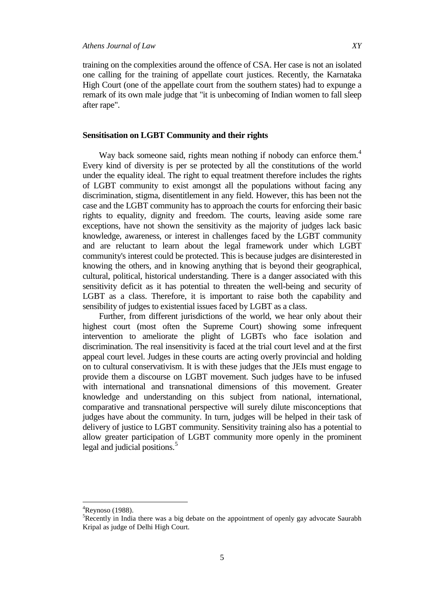training on the complexities around the offence of CSA. Her case is not an isolated one calling for the training of appellate court justices. Recently, the Karnataka High Court (one of the appellate court from the southern states) had to expunge a remark of its own male judge that "it is unbecoming of Indian women to fall sleep after rape".

## **Sensitisation on LGBT Community and their rights**

Way back someone said, rights mean nothing if nobody can enforce them.<sup>[4](#page-4-0)</sup> Every kind of diversity is per se protected by all the constitutions of the world under the equality ideal. The right to equal treatment therefore includes the rights of LGBT community to exist amongst all the populations without facing any discrimination, stigma, disentitlement in any field. However, this has been not the case and the LGBT community has to approach the courts for enforcing their basic rights to equality, dignity and freedom. The courts, leaving aside some rare exceptions, have not shown the sensitivity as the majority of judges lack basic knowledge, awareness, or interest in challenges faced by the LGBT community and are reluctant to learn about the legal framework under which LGBT community's interest could be protected. This is because judges are disinterested in knowing the others, and in knowing anything that is beyond their geographical, cultural, political, historical understanding. There is a danger associated with this sensitivity deficit as it has potential to threaten the well-being and security of LGBT as a class. Therefore, it is important to raise both the capability and sensibility of judges to existential issues faced by LGBT as a class.

Further, from different jurisdictions of the world, we hear only about their highest court (most often the Supreme Court) showing some infrequent intervention to ameliorate the plight of LGBTs who face isolation and discrimination. The real insensitivity is faced at the trial court level and at the first appeal court level. Judges in these courts are acting overly provincial and holding on to cultural conservativism. It is with these judges that the JEIs must engage to provide them a discourse on LGBT movement. Such judges have to be infused with international and transnational dimensions of this movement. Greater knowledge and understanding on this subject from national, international, comparative and transnational perspective will surely dilute misconceptions that judges have about the community. In turn, judges will be helped in their task of delivery of justice to LGBT community. Sensitivity training also has a potential to allow greater participation of LGBT community more openly in the prominent legal and judicial positions.<sup>[5](#page-4-1)</sup>

<span id="page-4-0"></span> $\frac{1}{4}$  ${}^{4}$ Reynoso (1988).

<span id="page-4-1"></span><sup>&</sup>lt;sup>5</sup>Recently in India there was a big debate on the appointment of openly gay advocate Saurabh Kripal as judge of Delhi High Court.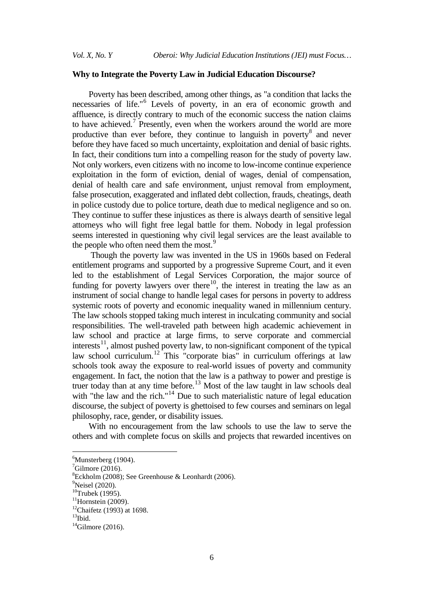## **Why to Integrate the Poverty Law in Judicial Education Discourse?**

Poverty has been described, among other things, as "a condition that lacks the necessaries of life."[6](#page-5-0) Levels of poverty, in an era of economic growth and affluence, is directly contrary to much of the economic success the nation claims to have achieved.<sup>[7](#page-5-1)</sup> Presently, even when the workers around the world are more productive than ever before, they continue to languish in poverty<sup>[8](#page-5-2)</sup> and never before they have faced so much uncertainty, exploitation and denial of basic rights. In fact, their conditions turn into a compelling reason for the study of poverty law. Not only workers, even citizens with no income to low-income continue experience exploitation in the form of eviction, denial of wages, denial of compensation, denial of health care and safe environment, unjust removal from employment, false prosecution, exaggerated and inflated debt collection, frauds, cheatings, death in police custody due to police torture, death due to medical negligence and so on. They continue to suffer these injustices as there is always dearth of sensitive legal attorneys who will fight free legal battle for them. Nobody in legal profession seems interested in questioning why civil legal services are the least available to the people who often need them the most.<sup>[9](#page-5-3)</sup>

Though the poverty law was invented in the US in 1960s based on Federal entitlement programs and supported by a progressive Supreme Court, and it even led to the establishment of Legal Services Corporation, the major source of funding for poverty lawyers over there<sup>10</sup>, the interest in treating the law as an instrument of social change to handle legal cases for persons in poverty to address systemic roots of poverty and economic inequality waned in millennium century. The law schools stopped taking much interest in inculcating community and social responsibilities. The well-traveled path between high academic achievement in law school and practice at large firms, to serve corporate and commercial  $interests<sup>11</sup>$  $interests<sup>11</sup>$  $interests<sup>11</sup>$ , almost pushed poverty law, to non-significant component of the typical law school curriculum.<sup>[12](#page-5-6)</sup> This "corporate bias" in curriculum offerings at law schools took away the exposure to real-world issues of poverty and community engagement. In fact, the notion that the law is a pathway to power and prestige is truer today than at any time before.<sup>[13](#page-5-7)</sup> Most of the law taught in law schools deal with "the law and the rich."<sup>[14](#page-5-8)</sup> Due to such materialistic nature of legal education discourse, the subject of poverty is ghettoised to few courses and seminars on legal philosophy, race, gender, or disability issues.

With no encouragement from the law schools to use the law to serve the others and with complete focus on skills and projects that rewarded incentives on

<span id="page-5-0"></span>6  $<sup>6</sup>$ Munsterberg (1904).</sup>

<span id="page-5-1"></span> $\mathrm{7}$ Gilmore (2016).

<span id="page-5-2"></span><sup>8</sup> Eckholm (2008); See Greenhouse & Leonhardt (2006).

<sup>&</sup>lt;sup>9</sup>Neisel (2020).

<span id="page-5-4"></span><span id="page-5-3"></span> $10$ Trubek (1995).

<span id="page-5-5"></span> $11$ Hornstein (2009).

<span id="page-5-6"></span> $12$ Chaifetz (1993) at 1698.

<span id="page-5-7"></span> $13$ Ibid.

<span id="page-5-8"></span> $14$ Gilmore (2016).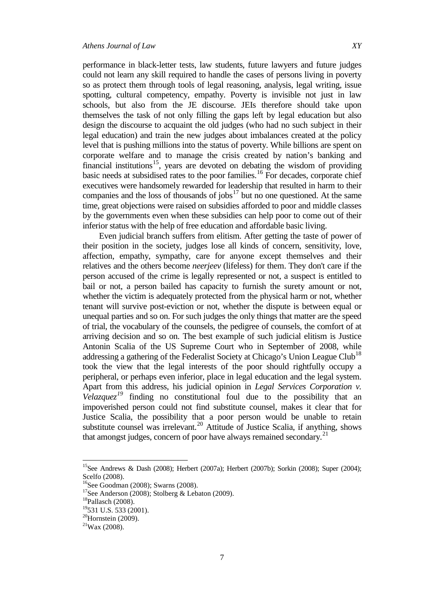performance in black-letter tests, law students, future lawyers and future judges could not learn any skill required to handle the cases of persons living in poverty so as protect them through tools of legal reasoning, analysis, legal writing, issue spotting, cultural competency, empathy. Poverty is invisible not just in law schools, but also from the JE discourse. JEIs therefore should take upon themselves the task of not only filling the gaps left by legal education but also design the discourse to acquaint the old judges (who had no such subject in their legal education) and train the new judges about imbalances created at the policy level that is pushing millions into the status of poverty. While billions are spent on corporate welfare and to manage the crisis created by nation's banking and financial institutions<sup>[15](#page-6-0)</sup>, years are devoted on debating the wisdom of providing basic needs at subsidised rates to the poor families.[16](#page-6-1) For decades, corporate chief executives were handsomely rewarded for leadership that resulted in harm to their companies and the loss of thousands of jobs $17$  but no one questioned. At the same time, great objections were raised on subsidies afforded to poor and middle classes by the governments even when these subsidies can help poor to come out of their

inferior status with the help of free education and affordable basic living.

Even judicial branch suffers from elitism. After getting the taste of power of their position in the society, judges lose all kinds of concern, sensitivity, love, affection, empathy, sympathy, care for anyone except themselves and their relatives and the others become *neerjeev* (lifeless) for them. They don't care if the person accused of the crime is legally represented or not, a suspect is entitled to bail or not, a person bailed has capacity to furnish the surety amount or not, whether the victim is adequately protected from the physical harm or not, whether tenant will survive post-eviction or not, whether the dispute is between equal or unequal parties and so on. For such judges the only things that matter are the speed of trial, the vocabulary of the counsels, the pedigree of counsels, the comfort of at arriving decision and so on. The best example of such judicial elitism is Justice Antonin Scalia of the US Supreme Court who in September of 2008, while addressing a gathering of the Federalist Society at Chicago's Union League Club<sup>[18](#page-6-3)</sup> took the view that the legal interests of the poor should rightfully occupy a peripheral, or perhaps even inferior, place in legal education and the legal system. Apart from this address, his judicial opinion in *Legal Services Corporation v. Velazquez*<sup> $19$ </sup> finding no constitutional foul due to the possibility that an impoverished person could not find substitute counsel, makes it clear that for Justice Scalia, the possibility that a poor person would be unable to retain substitute counsel was irrelevant.<sup>[20](#page-6-5)</sup> Attitude of Justice Scalia, if anything, shows that amongst judges, concern of poor have always remained secondary.<sup>[21](#page-6-6)</sup>

<span id="page-6-0"></span>15See Andrews & Dash (2008); Herbert (2007a); Herbert (2007b); Sorkin (2008); Super (2004); Scelfo (2008).

<span id="page-6-1"></span><sup>&</sup>lt;sup>16</sup>See Goodman (2008); Swarns (2008).

<span id="page-6-2"></span><sup>&</sup>lt;sup>17</sup>See Anderson (2008); Stolberg & Lebaton (2009).

<span id="page-6-3"></span> $18$ Pallasch (2008).

<span id="page-6-4"></span><sup>&</sup>lt;sup>19</sup>531 U.S. 533 (2001).

<span id="page-6-5"></span> $20$ Hornstein (2009).

<span id="page-6-6"></span> $21$ Wax (2008).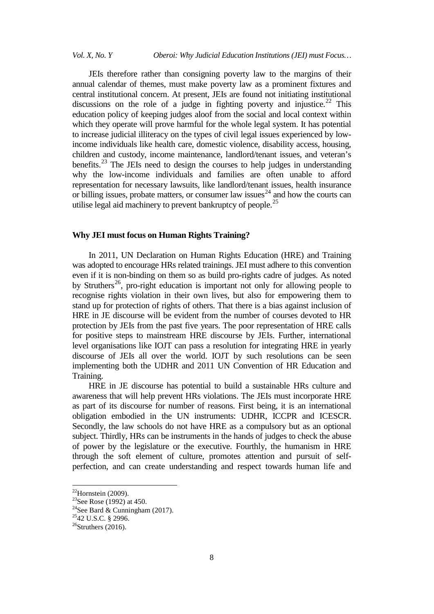## *Vol. X, No. Y Oberoi: Why Judicial Education Institutions (JEI) must Focus…*

JEIs therefore rather than consigning poverty law to the margins of their annual calendar of themes, must make poverty law as a prominent fixtures and central institutional concern. At present, JEIs are found not initiating institutional discussions on the role of a judge in fighting poverty and injustice.<sup>[22](#page-7-0)</sup> This education policy of keeping judges aloof from the social and local context within which they operate will prove harmful for the whole legal system. It has potential to increase judicial illiteracy on the types of civil legal issues experienced by lowincome individuals like health care, domestic violence, disability access, housing, children and custody, income maintenance, landlord/tenant issues, and veteran's benefits.<sup>[23](#page-7-1)</sup> The JEIs need to design the courses to help judges in understanding why the low-income individuals and families are often unable to afford representation for necessary lawsuits, like landlord/tenant issues, health insurance or billing issues, probate matters, or consumer law issues<sup>[24](#page-7-2)</sup> and how the courts can utilise legal aid machinery to prevent bankruptcy of people.<sup>[25](#page-7-3)</sup>

## **Why JEI must focus on Human Rights Training?**

In 2011, UN Declaration on Human Rights Education (HRE) and Training was adopted to encourage HRs related trainings. JEI must adhere to this convention even if it is non-binding on them so as build pro-rights cadre of judges. As noted by Struthers<sup>26</sup>, pro-right education is important not only for allowing people to recognise rights violation in their own lives, but also for empowering them to stand up for protection of rights of others. That there is a bias against inclusion of HRE in JE discourse will be evident from the number of courses devoted to HR protection by JEIs from the past five years. The poor representation of HRE calls for positive steps to mainstream HRE discourse by JEIs. Further, international level organisations like IOJT can pass a resolution for integrating HRE in yearly discourse of JEIs all over the world. IOJT by such resolutions can be seen implementing both the UDHR and 2011 UN Convention of HR Education and Training.

HRE in JE discourse has potential to build a sustainable HRs culture and awareness that will help prevent HRs violations. The JEIs must incorporate HRE as part of its discourse for number of reasons. First being, it is an international obligation embodied in the UN instruments: UDHR, ICCPR and ICESCR. Secondly, the law schools do not have HRE as a compulsory but as an optional subject. Thirdly, HRs can be instruments in the hands of judges to check the abuse of power by the legislature or the executive. Fourthly, the humanism in HRE through the soft element of culture, promotes attention and pursuit of selfperfection, and can create understanding and respect towards human life and

<span id="page-7-0"></span><sup>&</sup>lt;sup>22</sup>Hornstein (2009).<br><sup>23</sup>See Rose (1992) at 450.

<span id="page-7-2"></span><span id="page-7-1"></span><sup>&</sup>lt;sup>24</sup>See Bard & Cunningham (2017).

<span id="page-7-3"></span><sup>2542</sup> U.S.C. § 2996.

<span id="page-7-4"></span> $26$ Struthers (2016).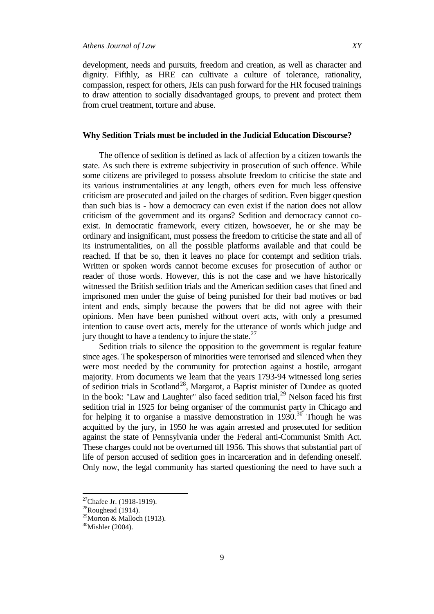development, needs and pursuits, freedom and creation, as well as character and dignity. Fifthly, as HRE can cultivate a culture of tolerance, rationality, compassion, respect for others, JEIs can push forward for the HR focused trainings to draw attention to socially disadvantaged groups, to prevent and protect them from cruel treatment, torture and abuse.

## **Why Sedition Trials must be included in the Judicial Education Discourse?**

The offence of sedition is defined as lack of affection by a citizen towards the state. As such there is extreme subjectivity in prosecution of such offence. While some citizens are privileged to possess absolute freedom to criticise the state and its various instrumentalities at any length, others even for much less offensive criticism are prosecuted and jailed on the charges of sedition. Even bigger question than such bias is - how a democracy can even exist if the nation does not allow criticism of the government and its organs? Sedition and democracy cannot coexist. In democratic framework, every citizen, howsoever, he or she may be ordinary and insignificant, must possess the freedom to criticise the state and all of its instrumentalities, on all the possible platforms available and that could be reached. If that be so, then it leaves no place for contempt and sedition trials. Written or spoken words cannot become excuses for prosecution of author or reader of those words. However, this is not the case and we have historically witnessed the British sedition trials and the American sedition cases that fined and imprisoned men under the guise of being punished for their bad motives or bad intent and ends, simply because the powers that be did not agree with their opinions. Men have been punished without overt acts, with only a presumed intention to cause overt acts, merely for the utterance of words which judge and jury thought to have a tendency to injure the state. $27$ 

Sedition trials to silence the opposition to the government is regular feature since ages. The spokesperson of minorities were terrorised and silenced when they were most needed by the community for protection against a hostile, arrogant majority. From documents we learn that the years 1793-94 witnessed long series of sedition trials in Scotland<sup>[28](#page-8-1)</sup>, Margarot, a Baptist minister of Dundee as quoted in the book: "Law and Laughter" also faced sedition trial,<sup>[29](#page-8-2)</sup> Nelson faced his first sedition trial in 1925 for being organiser of the communist party in Chicago and for helping it to organise a massive demonstration in  $1930$  $1930$ .<sup>30</sup> Though he was acquitted by the jury, in 1950 he was again arrested and prosecuted for sedition against the state of Pennsylvania under the Federal anti-Communist Smith Act. These charges could not be overturned till 1956. This shows that substantial part of life of person accused of sedition goes in incarceration and in defending oneself. Only now, the legal community has started questioning the need to have such a

<span id="page-8-0"></span><sup>&</sup>lt;sup>27</sup>Chafee Jr. (1918-1919).<br><sup>28</sup>Roughead (1914).

<span id="page-8-1"></span>

<span id="page-8-2"></span> $29$ Morton & Malloch (1913).

<span id="page-8-3"></span><sup>30</sup>Mishler (2004).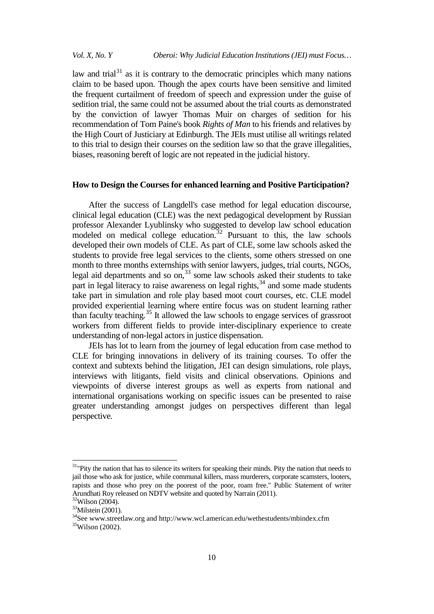*Vol. X, No. Y Oberoi: Why Judicial Education Institutions (JEI) must Focus…*

law and trial $31$  as it is contrary to the democratic principles which many nations claim to be based upon. Though the apex courts have been sensitive and limited the frequent curtailment of freedom of speech and expression under the guise of sedition trial, the same could not be assumed about the trial courts as demonstrated by the conviction of lawyer Thomas Muir on charges of sedition for his recommendation of Tom Paine's book *Rights of Man* to his friends and relatives by the High Court of Justiciary at Edinburgh. The JEIs must utilise all writings related to this trial to design their courses on the sedition law so that the grave illegalities, biases, reasoning bereft of logic are not repeated in the judicial history.

#### **How to Design the Courses for enhanced learning and Positive Participation?**

After the success of Langdell's case method for legal education discourse, clinical legal education (CLE) was the next pedagogical development by Russian professor Alexander Lyublinsky who suggested to develop law school education modeled on medical college education.<sup>[32](#page-9-1)</sup> Pursuant to this, the law schools developed their own models of CLE. As part of CLE, some law schools asked the students to provide free legal services to the clients, some others stressed on one month to three months externships with senior lawyers, judges, trial courts, NGOs, legal aid departments and so on, $33$  some law schools asked their students to take part in legal literacy to raise awareness on legal rights, $34$  and some made students take part in simulation and role play based moot court courses, etc. CLE model provided experiential learning where entire focus was on student learning rather than faculty teaching.[35](#page-9-4) It allowed the law schools to engage services of grassroot workers from different fields to provide inter-disciplinary experience to create understanding of non-legal actors in justice dispensation.

JEIs has lot to learn from the journey of legal education from case method to CLE for bringing innovations in delivery of its training courses. To offer the context and subtexts behind the litigation, JEI can design simulations, role plays, interviews with litigants, field visits and clinical observations. Opinions and viewpoints of diverse interest groups as well as experts from national and international organisations working on specific issues can be presented to raise greater understanding amongst judges on perspectives different than legal perspective.

<span id="page-9-0"></span><sup>&</sup>lt;sup>31</sup>"Pity the nation that has to silence its writers for speaking their minds. Pity the nation that needs to jail those who ask for justice, while communal killers, mass murderers, corporate scamsters, looters, rapists and those who prey on the poorest of the poor, roam free." Public Statement of writer Arundhati Roy released on NDTV website and quoted by Narrain (2011).<br><sup>32</sup>Wilson (2004).

<span id="page-9-2"></span><span id="page-9-1"></span> $33$ Milstein (2001).

<span id="page-9-4"></span><span id="page-9-3"></span><sup>34</sup>See www.streetlaw.org and http://www.wcl.american.edu/wethestudents/mbindex.cfm 35Wilson (2002).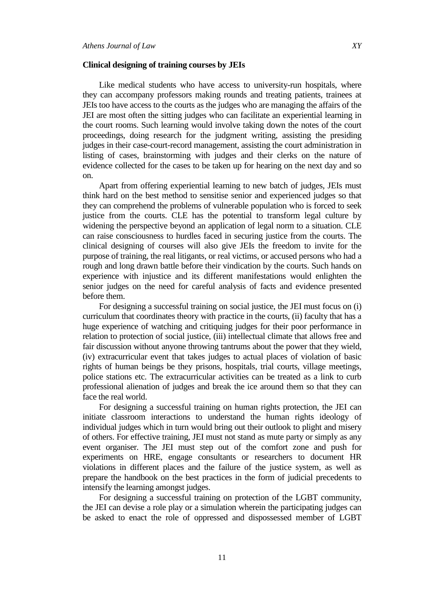#### **Clinical designing of training courses by JEIs**

Like medical students who have access to university-run hospitals, where they can accompany professors making rounds and treating patients, trainees at JEIs too have access to the courts as the judges who are managing the affairs of the JEI are most often the sitting judges who can facilitate an experiential learning in the court rooms. Such learning would involve taking down the notes of the court proceedings, doing research for the judgment writing, assisting the presiding judges in their case-court-record management, assisting the court administration in listing of cases, brainstorming with judges and their clerks on the nature of evidence collected for the cases to be taken up for hearing on the next day and so on.

Apart from offering experiential learning to new batch of judges, JEIs must think hard on the best method to sensitise senior and experienced judges so that they can comprehend the problems of vulnerable population who is forced to seek justice from the courts. CLE has the potential to transform legal culture by widening the perspective beyond an application of legal norm to a situation. CLE can raise consciousness to hurdles faced in securing justice from the courts. The clinical designing of courses will also give JEIs the freedom to invite for the purpose of training, the real litigants, or real victims, or accused persons who had a rough and long drawn battle before their vindication by the courts. Such hands on experience with injustice and its different manifestations would enlighten the senior judges on the need for careful analysis of facts and evidence presented before them.

For designing a successful training on social justice, the JEI must focus on (i) curriculum that coordinates theory with practice in the courts, (ii) faculty that has a huge experience of watching and critiquing judges for their poor performance in relation to protection of social justice, (iii) intellectual climate that allows free and fair discussion without anyone throwing tantrums about the power that they wield, (iv) extracurricular event that takes judges to actual places of violation of basic rights of human beings be they prisons, hospitals, trial courts, village meetings, police stations etc. The extracurricular activities can be treated as a link to curb professional alienation of judges and break the ice around them so that they can face the real world.

For designing a successful training on human rights protection, the JEI can initiate classroom interactions to understand the human rights ideology of individual judges which in turn would bring out their outlook to plight and misery of others. For effective training, JEI must not stand as mute party or simply as any event organiser. The JEI must step out of the comfort zone and push for experiments on HRE, engage consultants or researchers to document HR violations in different places and the failure of the justice system, as well as prepare the handbook on the best practices in the form of judicial precedents to intensify the learning amongst judges.

For designing a successful training on protection of the LGBT community, the JEI can devise a role play or a simulation wherein the participating judges can be asked to enact the role of oppressed and dispossessed member of LGBT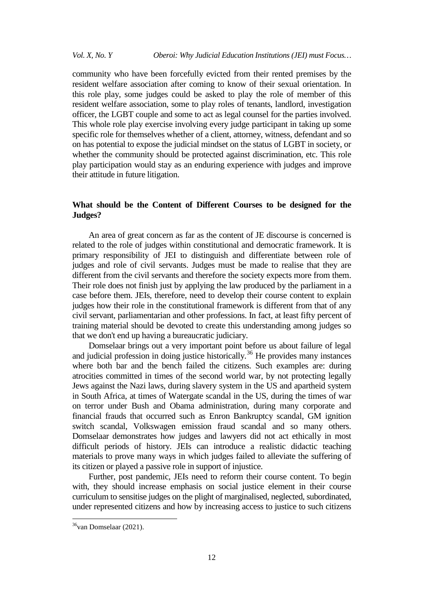community who have been forcefully evicted from their rented premises by the resident welfare association after coming to know of their sexual orientation. In this role play, some judges could be asked to play the role of member of this resident welfare association, some to play roles of tenants, landlord, investigation officer, the LGBT couple and some to act as legal counsel for the parties involved. This whole role play exercise involving every judge participant in taking up some specific role for themselves whether of a client, attorney, witness, defendant and so on has potential to expose the judicial mindset on the status of LGBT in society, or whether the community should be protected against discrimination, etc. This role play participation would stay as an enduring experience with judges and improve their attitude in future litigation.

## **What should be the Content of Different Courses to be designed for the Judges?**

An area of great concern as far as the content of JE discourse is concerned is related to the role of judges within constitutional and democratic framework. It is primary responsibility of JEI to distinguish and differentiate between role of judges and role of civil servants. Judges must be made to realise that they are different from the civil servants and therefore the society expects more from them. Their role does not finish just by applying the law produced by the parliament in a case before them. JEIs, therefore, need to develop their course content to explain judges how their role in the constitutional framework is different from that of any civil servant, parliamentarian and other professions. In fact, at least fifty percent of training material should be devoted to create this understanding among judges so that we don't end up having a bureaucratic judiciary.

Domselaar brings out a very important point before us about failure of legal and judicial profession in doing justice historically.<sup>[36](#page-11-0)</sup> He provides many instances where both bar and the bench failed the citizens. Such examples are: during atrocities committed in times of the second world war, by not protecting legally Jews against the Nazi laws, during slavery system in the US and apartheid system in South Africa, at times of Watergate scandal in the US, during the times of war on terror under Bush and Obama administration, during many corporate and financial frauds that occurred such as Enron Bankruptcy scandal, GM ignition switch scandal, Volkswagen emission fraud scandal and so many others. Domselaar demonstrates how judges and lawyers did not act ethically in most difficult periods of history. JEIs can introduce a realistic didactic teaching materials to prove many ways in which judges failed to alleviate the suffering of its citizen or played a passive role in support of injustice.

Further, post pandemic, JEIs need to reform their course content. To begin with, they should increase emphasis on social justice element in their course curriculum to sensitise judges on the plight of marginalised, neglected, subordinated, under represented citizens and how by increasing access to justice to such citizens

<span id="page-11-0"></span> $36$ van Domselaar (2021).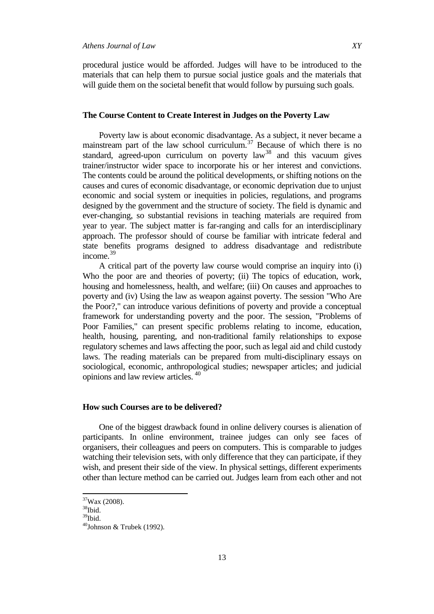procedural justice would be afforded. Judges will have to be introduced to the materials that can help them to pursue social justice goals and the materials that will guide them on the societal benefit that would follow by pursuing such goals.

## **The Course Content to Create Interest in Judges on the Poverty Law**

Poverty law is about economic disadvantage. As a subject, it never became a mainstream part of the law school curriculum.<sup>[37](#page-12-0)</sup> Because of which there is no standard, agreed-upon curriculum on poverty  $law^{38}$  $law^{38}$  $law^{38}$  and this vacuum gives trainer/instructor wider space to incorporate his or her interest and convictions. The contents could be around the political developments, or shifting notions on the causes and cures of economic disadvantage, or economic deprivation due to unjust economic and social system or inequities in policies, regulations, and programs designed by the government and the structure of society. The field is dynamic and ever-changing, so substantial revisions in teaching materials are required from year to year. The subject matter is far-ranging and calls for an interdisciplinary approach. The professor should of course be familiar with intricate federal and state benefits programs designed to address disadvantage and redistribute income.<sup>[39](#page-12-2)</sup>

A critical part of the poverty law course would comprise an inquiry into (i) Who the poor are and theories of poverty; (ii) The topics of education, work, housing and homelessness, health, and welfare; (iii) On causes and approaches to poverty and (iv) Using the law as weapon against poverty. The session "Who Are the Poor?," can introduce various definitions of poverty and provide a conceptual framework for understanding poverty and the poor. The session, "Problems of Poor Families," can present specific problems relating to income, education, health, housing, parenting, and non-traditional family relationships to expose regulatory schemes and laws affecting the poor, such as legal aid and child custody laws. The reading materials can be prepared from multi-disciplinary essays on sociological, economic, anthropological studies; newspaper articles; and judicial opinions and law review articles. [40](#page-12-3)

#### **How such Courses are to be delivered?**

One of the biggest drawback found in online delivery courses is alienation of participants. In online environment, trainee judges can only see faces of organisers, their colleagues and peers on computers. This is comparable to judges watching their television sets, with only difference that they can participate, if they wish, and present their side of the view. In physical settings, different experiments other than lecture method can be carried out. Judges learn from each other and not

<span id="page-12-0"></span>37Wax (2008).

<span id="page-12-1"></span> $38$ Ibid.

<span id="page-12-2"></span> $39$ Ibid.

<span id="page-12-3"></span> $40$ Johnson & Trubek (1992).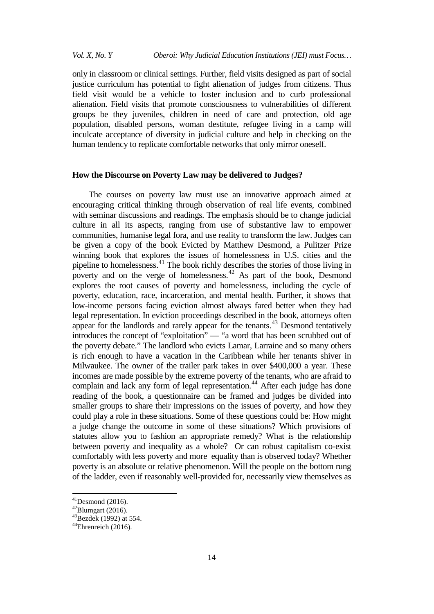only in classroom or clinical settings. Further, field visits designed as part of social justice curriculum has potential to fight alienation of judges from citizens. Thus field visit would be a vehicle to foster inclusion and to curb professional alienation. Field visits that promote consciousness to vulnerabilities of different groups be they juveniles, children in need of care and protection, old age population, disabled persons, woman destitute, refugee living in a camp will inculcate acceptance of diversity in judicial culture and help in checking on the human tendency to replicate comfortable networks that only mirror oneself.

## **How the Discourse on Poverty Law may be delivered to Judges?**

The courses on poverty law must use an innovative approach aimed at encouraging critical thinking through observation of real life events, combined with seminar discussions and readings. The emphasis should be to change judicial culture in all its aspects, ranging from use of substantive law to empower communities, humanise legal fora, and use reality to transform the law. Judges can be given a copy of the book Evicted by Matthew Desmond, a Pulitzer Prize winning book that explores the issues of homelessness in U.S. cities and the pipeline to homelessness. $^{41}$  $^{41}$  $^{41}$  The book richly describes the stories of those living in poverty and on the verge of homelessness.<sup>[42](#page-13-1)</sup> As part of the book, Desmond explores the root causes of poverty and homelessness, including the cycle of poverty, education, race, incarceration, and mental health. Further, it shows that low-income persons facing eviction almost always fared better when they had legal representation. In eviction proceedings described in the book, attorneys often appear for the landlords and rarely appear for the tenants.<sup>[43](#page-13-2)</sup> Desmond tentatively introduces the concept of "exploitation" — "a word that has been scrubbed out of the poverty debate." The landlord who evicts Lamar, Larraine and so many others is rich enough to have a vacation in the Caribbean while her tenants shiver in Milwaukee. The owner of the trailer park takes in over \$400,000 a year. These incomes are made possible by the extreme poverty of the tenants, who are afraid to complain and lack any form of legal representation.<sup>[44](#page-13-3)</sup> After each judge has done reading of the book, a questionnaire can be framed and judges be divided into smaller groups to share their impressions on the issues of poverty, and how they could play a role in these situations. Some of these questions could be: How might a judge change the outcome in some of these situations? Which provisions of statutes allow you to fashion an appropriate remedy? What is the relationship between poverty and inequality as a whole? Or can robust capitalism co-exist comfortably with less poverty and more equality than is observed today? Whether poverty is an absolute or relative phenomenon. Will the people on the bottom rung of the ladder, even if reasonably well-provided for, necessarily view themselves as

<span id="page-13-0"></span><sup>&</sup>lt;sup>41</sup>Desmond (2016).<br><sup>42</sup>Blumgart (2016).

<span id="page-13-2"></span><span id="page-13-1"></span> $43$ Bezdek (1992) at 554.

<span id="page-13-3"></span> $^{44}$ Ehrenreich (2016).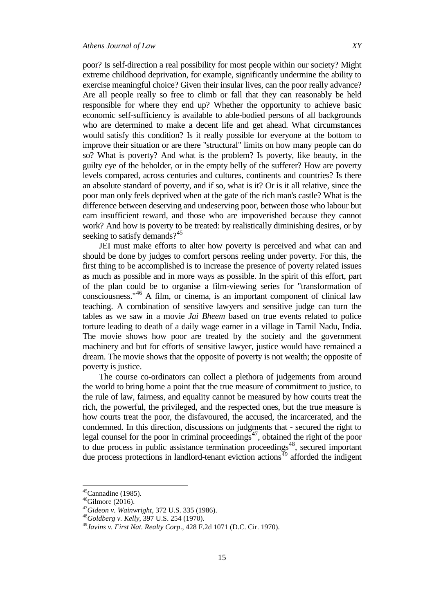poor? Is self-direction a real possibility for most people within our society? Might extreme childhood deprivation, for example, significantly undermine the ability to exercise meaningful choice? Given their insular lives, can the poor really advance? Are all people really so free to climb or fall that they can reasonably be held responsible for where they end up? Whether the opportunity to achieve basic economic self-sufficiency is available to able-bodied persons of all backgrounds who are determined to make a decent life and get ahead. What circumstances would satisfy this condition? Is it really possible for everyone at the bottom to improve their situation or are there "structural" limits on how many people can do so? What is poverty? And what is the problem? Is poverty, like beauty, in the guilty eye of the beholder, or in the empty belly of the sufferer? How are poverty levels compared, across centuries and cultures, continents and countries? Is there an absolute standard of poverty, and if so, what is it? Or is it all relative, since the poor man only feels deprived when at the gate of the rich man's castle? What is the difference between deserving and undeserving poor, between those who labour but earn insufficient reward, and those who are impoverished because they cannot work? And how is poverty to be treated: by realistically diminishing desires, or by seeking to satisfy demands? $45$ 

JEI must make efforts to alter how poverty is perceived and what can and should be done by judges to comfort persons reeling under poverty. For this, the first thing to be accomplished is to increase the presence of poverty related issues as much as possible and in more ways as possible. In the spirit of this effort, part of the plan could be to organise a film-viewing series for "transformation of consciousness."[46](#page-14-1) A film, or cinema, is an important component of clinical law teaching. A combination of sensitive lawyers and sensitive judge can turn the tables as we saw in a movie *Jai Bheem* based on true events related to police torture leading to death of a daily wage earner in a village in Tamil Nadu, India. The movie shows how poor are treated by the society and the government machinery and but for efforts of sensitive lawyer, justice would have remained a dream. The movie shows that the opposite of poverty is not wealth; the opposite of poverty is justice.

The course co-ordinators can collect a plethora of judgements from around the world to bring home a point that the true measure of commitment to justice, to the rule of law, fairness, and equality cannot be measured by how courts treat the rich, the powerful, the privileged, and the respected ones, but the true measure is how courts treat the poor, the disfavoured, the accused, the incarcerated, and the condemned. In this direction, discussions on judgments that - secured the right to legal counsel for the poor in criminal proceedings<sup>47</sup>, obtained the right of the poor to due process in public assistance termination proceedings<sup>48</sup>, secured important due process protections in landlord-tenant eviction actions<sup>[49](#page-14-4)</sup> afforded the indigent

 $45$ Cannadine (1985).

<span id="page-14-2"></span><span id="page-14-1"></span><span id="page-14-0"></span> $46$ Gilmore (2016).

<sup>47</sup>*Gideon v. Wainwright*, 372 U.S. 335 (1986). <sup>48</sup>*Goldberg v. Kelly*, 397 U.S. 254 (1970).

<span id="page-14-4"></span><span id="page-14-3"></span><sup>49</sup>*Javins v. First Nat. Realty Corp*., 428 F.2d 1071 (D.C. Cir. 1970).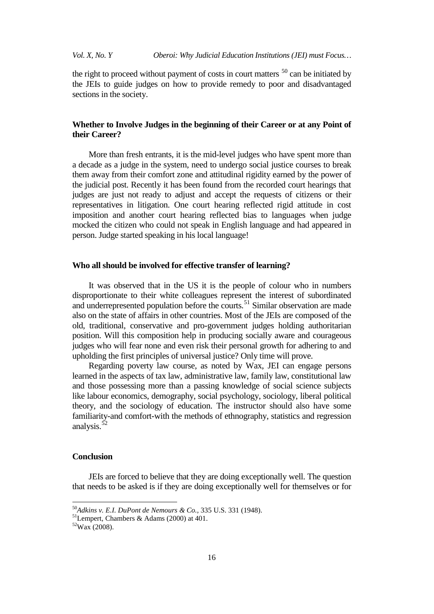the right to proceed without payment of costs in court matters  $50$  can be initiated by the JEIs to guide judges on how to provide remedy to poor and disadvantaged sections in the society.

## **Whether to Involve Judges in the beginning of their Career or at any Point of their Career?**

More than fresh entrants, it is the mid-level judges who have spent more than a decade as a judge in the system, need to undergo social justice courses to break them away from their comfort zone and attitudinal rigidity earned by the power of the judicial post. Recently it has been found from the recorded court hearings that judges are just not ready to adjust and accept the requests of citizens or their representatives in litigation. One court hearing reflected rigid attitude in cost imposition and another court hearing reflected bias to languages when judge mocked the citizen who could not speak in English language and had appeared in person. Judge started speaking in his local language!

## **Who all should be involved for effective transfer of learning?**

It was observed that in the US it is the people of colour who in numbers disproportionate to their white colleagues represent the interest of subordinated and underrepresented population before the courts.<sup>[51](#page-15-1)</sup> Similar observation are made also on the state of affairs in other countries. Most of the JEIs are composed of the old, traditional, conservative and pro-government judges holding authoritarian position. Will this composition help in producing socially aware and courageous judges who will fear none and even risk their personal growth for adhering to and upholding the first principles of universal justice? Only time will prove.

Regarding poverty law course, as noted by Wax, JEI can engage persons learned in the aspects of tax law, administrative law, family law, constitutional law and those possessing more than a passing knowledge of social science subjects like labour economics, demography, social psychology, sociology, liberal political theory, and the sociology of education. The instructor should also have some familiarity-and comfort-with the methods of ethnography, statistics and regression analysis.<sup>5</sup>

#### **Conclusion**

JEIs are forced to believe that they are doing exceptionally well. The question that needs to be asked is if they are doing exceptionally well for themselves or for

<span id="page-15-0"></span><sup>50</sup>*Adkins v. E.I. DuPont de Nemours & Co.,* 335 U.S. 331 (1948). 51Lempert, Chambers & Adams (2000) at 401.

<span id="page-15-1"></span>

<span id="page-15-2"></span> $52$ Wax (2008).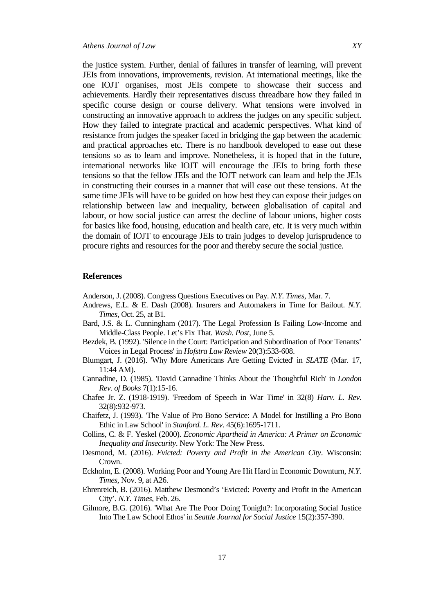the justice system. Further, denial of failures in transfer of learning, will prevent JEIs from innovations, improvements, revision. At international meetings, like the one IOJT organises, most JEIs compete to showcase their success and achievements. Hardly their representatives discuss threadbare how they failed in specific course design or course delivery. What tensions were involved in constructing an innovative approach to address the judges on any specific subject. How they failed to integrate practical and academic perspectives. What kind of resistance from judges the speaker faced in bridging the gap between the academic and practical approaches etc. There is no handbook developed to ease out these tensions so as to learn and improve. Nonetheless, it is hoped that in the future, international networks like IOJT will encourage the JEIs to bring forth these tensions so that the fellow JEIs and the IOJT network can learn and help the JEIs in constructing their courses in a manner that will ease out these tensions. At the same time JEIs will have to be guided on how best they can expose their judges on relationship between law and inequality, between globalisation of capital and labour, or how social justice can arrest the decline of labour unions, higher costs for basics like food, housing, education and health care, etc. It is very much within the domain of IOJT to encourage JEIs to train judges to develop jurisprudence to procure rights and resources for the poor and thereby secure the social justice.

## **References**

Anderson, J. (2008). Congress Questions Executives on Pay. *N.Y. Times*, Mar. 7.

- Andrews, E.L. & E. Dash (2008). Insurers and Automakers in Time for Bailout. *N.Y. Times*, Oct. 25, at B1.
- Bard, J.S. & L. Cunningham (2017). The Legal Profession Is Failing Low-Income and Middle-Class People. Let's Fix That*. Wash. Post*, June 5.
- Bezdek, B. (1992). 'Silence in the Court: Participation and Subordination of Poor Tenants' Voices in Legal Process' in *Hofstra Law Review* 20(3):533-608.
- Blumgart, J. (2016). 'Why More Americans Are Getting Evicted' in *SLATE* (Mar. 17, 11:44 AM).
- Cannadine, D. (1985). 'David Cannadine Thinks About the Thoughtful Rich' in *London Rev. of Books* 7(1):15-16.
- Chafee Jr. Z. (1918-1919). 'Freedom of Speech in War Time' in 32(8) *Harv. L. Rev.* 32(8):932-973.
- Chaifetz, J. (1993). 'The Value of Pro Bono Service: A Model for Instilling a Pro Bono Ethic in Law School' in *Stanford. L. Rev*. 45(6):1695-1711.
- Collins, C. & F. Yeskel (2000). *Economic Apartheid in America: A Primer on Economic Inequality and Insecurity*. New York: The New Press.
- Desmond, M. (2016). *Evicted: Poverty and Profit in the American City*. Wisconsin: Crown.
- Eckholm, E. (2008). Working Poor and Young Are Hit Hard in Economic Downturn, *N.Y. Times*, Nov. 9, at A26.
- Ehrenreich, B. (2016). Matthew Desmond's 'Evicted: Poverty and Profit in the American City'. *N.Y. Times*, Feb. 26.
- Gilmore, B.G. (2016). 'What Are The Poor Doing Tonight?: Incorporating Social Justice Into The Law School Ethos' in *Seattle Journal for Social Justice* 15(2):357-390.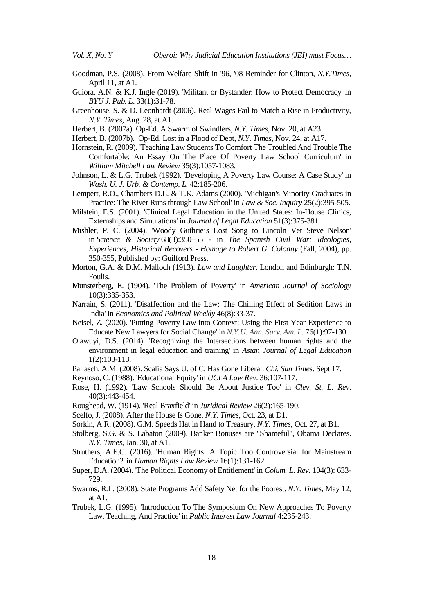- Goodman, P.S. (2008). From Welfare Shift in '96, '08 Reminder for Clinton, *N.Y.Times*, April 11, at A1.
- Guiora, A.N. & K.J. Ingle (2019). 'Militant or Bystander: How to Protect Democracy' in *BYU J. Pub. L*. 33(1):31-78.
- Greenhouse, S. & D. Leonhardt (2006). Real Wages Fail to Match a Rise in Productivity, *N.Y. Times*, Aug. 28, at A1.
- Herbert, B. (2007a). Op-Ed. A Swarm of Swindlers, *N.Y. Times*, Nov. 20, at A23.
- Herbert, B. (2007b). Op-Ed. Lost in a Flood of Debt, *N.Y. Times*, Nov. 24, at A17.
- Hornstein, R. (2009). 'Teaching Law Students To Comfort The Troubled And Trouble The Comfortable: An Essay On The Place Of Poverty Law School Curriculum' in *William Mitchell Law Review* 35(3):1057-1083.
- Johnson, L. & L.G. Trubek (1992). 'Developing A Poverty Law Course: A Case Study' in *Wash. U. J. Urb. & Contemp. L.* 42:185-206.
- Lempert, R.O., Chambers D.L. & T.K. Adams (2000). 'Michigan's Minority Graduates in Practice: The River Runs through Law School' in *Law & Soc. Inquiry* 25(2):395-505.
- Milstein, E.S. (2001). 'Clinical Legal Education in the United States: In-House Clinics, Externships and Simulations' in *Journal of Legal Education* 51(3):375-381.
- Mishler, P. C. (2004). 'Woody Guthrie's Lost Song to Lincoln Vet Steve Nelson' in *Science & Society* 68(3):350–55 - in *The Spanish Civil War: Ideologies, Experiences, Historical Recovers - Homage to Robert G. Colodny* (Fall, 2004), pp. 350-355, Published by: Guilford Press.
- Morton, G.A. & D.M. Malloch (1913). *Law and Laughter*. London and Edinburgh: T.N. Foulis.
- Munsterberg, E. (1904). 'The Problem of Poverty' in *American Journal of Sociology* 10(3):335-353.
- Narrain, S. (2011). 'Disaffection and the Law: The Chilling Effect of Sedition Laws in India' in *Economics and Political Weekly* 46(8):33-37.
- Neisel, Z. (2020). 'Putting Poverty Law into Context: Using the First Year Experience to Educate New Lawyers for Social Change' in *N.Y.U. Ann. Surv. Am. L.* 76(1):97-130.
- Olawuyi, D.S. (2014). 'Recognizing the Intersections between human rights and the environment in legal education and training' in *Asian Journal of Legal Education* 1(2):103-113.
- Pallasch, A.M. (2008). Scalia Says U. of C. Has Gone Liberal. *Chi. Sun Times*. Sept 17.
- Reynoso, C. (1988). 'Educational Equity' in *UCLA Law Rev*. 36:107-117.
- Rose, H. (1992). 'Law Schools Should Be About Justice Too' in *Clev. St. L. Rev*. 40(3):443-454.
- Roughead, W. (1914). 'Real Braxfield' in *Juridical Review* 26(2):165-190.
- Scelfo, J. (2008). After the House Is Gone, *N.Y. Times*, Oct. 23, at D1.
- Sorkin, A.R. (2008). G.M. Speeds Hat in Hand to Treasury, *N.Y. Times*, Oct. 27, at B1.
- Stolberg, S.G. & S. Labaton (2009). Banker Bonuses are "Shameful", Obama Declares. *N.Y. Times*, Jan. 30, at A1.
- Struthers, A.E.C. (2016). 'Human Rights: A Topic Too Controversial for Mainstream Education?' in *Human Rights Law Review* 16(1):131-162.
- Super, D.A. (2004). 'The Political Economy of Entitlement' in *Colum. L. Rev*. 104(3): 633- 729.
- Swarms, R.L. (2008). State Programs Add Safety Net for the Poorest. *N.Y. Times*, May 12, at A1.
- Trubek, L.G. (1995). 'Introduction To The Symposium On New Approaches To Poverty Law, Teaching, And Practice' in *Public Interest Law Journal* 4:235-243.